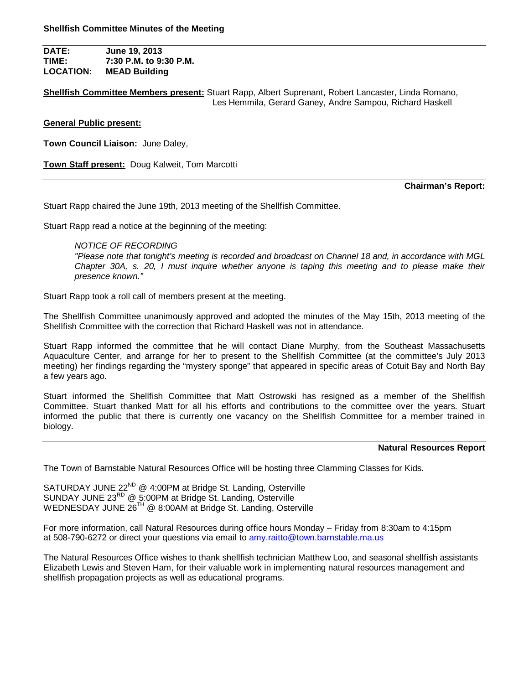**DATE: June 19, 2013 TIME: 7:30 P.M. to 9:30 P.M. LOCATION: MEAD Building**

**Shellfish Committee Members present:** Stuart Rapp, Albert Suprenant, Robert Lancaster, Linda Romano, Les Hemmila, Gerard Ganey, Andre Sampou, Richard Haskell

## **General Public present:**

**Town Council Liaison:** June Daley,

**Town Staff present:** Doug Kalweit, Tom Marcotti

#### **Chairman's Report:**

Stuart Rapp chaired the June 19th, 2013 meeting of the Shellfish Committee.

Stuart Rapp read a notice at the beginning of the meeting:

### *NOTICE OF RECORDING*

*"Please note that tonight's meeting is recorded and broadcast on Channel 18 and, in accordance with MGL Chapter 30A, s. 20, I must inquire whether anyone is taping this meeting and to please make their presence known."*

Stuart Rapp took a roll call of members present at the meeting.

The Shellfish Committee unanimously approved and adopted the minutes of the May 15th, 2013 meeting of the Shellfish Committee with the correction that Richard Haskell was not in attendance.

Stuart Rapp informed the committee that he will contact Diane Murphy, from the Southeast Massachusetts Aquaculture Center, and arrange for her to present to the Shellfish Committee (at the committee's July 2013 meeting) her findings regarding the "mystery sponge" that appeared in specific areas of Cotuit Bay and North Bay a few years ago.

Stuart informed the Shellfish Committee that Matt Ostrowski has resigned as a member of the Shellfish Committee. Stuart thanked Matt for all his efforts and contributions to the committee over the years. Stuart informed the public that there is currently one vacancy on the Shellfish Committee for a member trained in biology.

#### **Natural Resources Report**

The Town of Barnstable Natural Resources Office will be hosting three Clamming Classes for Kids.

SATURDAY JUNE 22<sup>ND</sup> @ 4:00PM at Bridge St. Landing, Osterville SUNDAY JUNE 23<sup>RD</sup> @ 5:00PM at Bridge St. Landing, Osterville WEDNESDAY JUNE 26<sup>TH</sup> @ 8:00AM at Bridge St. Landing, Osterville

For more information, call Natural Resources during office hours Monday – Friday from 8:30am to 4:15pm at 508-790-6272 or direct your questions via email to amy.raitto@town.barnstable.ma.us

The Natural Resources Office wishes to thank shellfish technician Matthew Loo, and seasonal shellfish assistants Elizabeth Lewis and Steven Ham, for their valuable work in implementing natural resources management and shellfish propagation projects as well as educational programs.